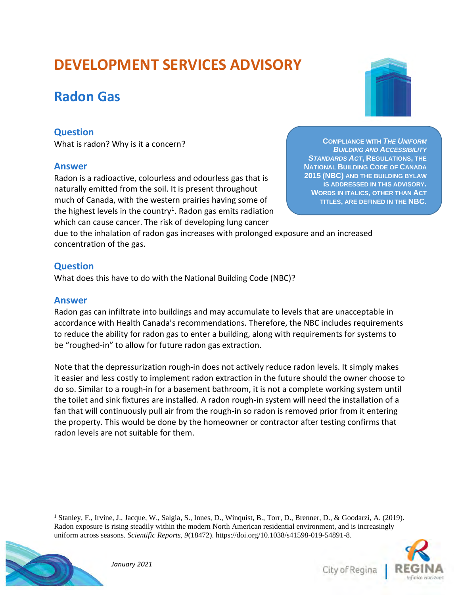## **DEVELOPMENT SERVICES ADVISORY**

## **Radon Gas**

## **Question**

What is radon? Why is it a concern?

### **Answer**

Radon is a radioactive, colourless and odourless gas that is naturally emitted from the soil. It is present throughout much of Canada, with the western prairies having some of the highest levels in the country<sup>1</sup>. Radon gas emits radiation which can cause cancer. The risk of developing lung cancer

**COMPLIANCE WITH** *THE UNIFORM BUILDING AND ACCESSIBILITY STANDARDS ACT***, REGULATIONS, THE NATIONAL BUILDING CODE OF CANADA 2015 (NBC) AND THE BUILDING BYLAW IS ADDRESSED IN THIS ADVISORY. WORDS IN ITALICS, OTHER THAN ACT TITLES, ARE DEFINED IN THE NBC.**

due to the inhalation of radon gas increases with prolonged exposure and an increased concentration of the gas.

## **Question**

What does this have to do with the National Building Code (NBC)?

## **Answer**

Radon gas can infiltrate into buildings and may accumulate to levels that are unacceptable in accordance with Health Canada's recommendations. Therefore, the NBC includes requirements to reduce the ability for radon gas to enter a building, along with requirements for systems to be "roughed-in" to allow for future radon gas extraction.

Note that the depressurization rough-in does not actively reduce radon levels. It simply makes it easier and less costly to implement radon extraction in the future should the owner choose to do so. Similar to a rough-in for a basement bathroom, it is not a complete working system until the toilet and sink fixtures are installed. A radon rough-in system will need the installation of a fan that will continuously pull air from the rough-in so radon is removed prior from it entering the property. This would be done by the homeowner or contractor after testing confirms that radon levels are not suitable for them.

<sup>&</sup>lt;sup>1</sup> Stanley, F., Irvine, J., Jacque, W., Salgia, S., Innes, D., Winquist, B., Torr, D., Brenner, D., & Goodarzi, A. (2019). Radon exposure is rising steadily within the modern North American residential environment, and is increasingly uniform across seasons. *Scientific Reports, 9*(18472). https://doi.org/10.1038/s41598-019-54891-8.



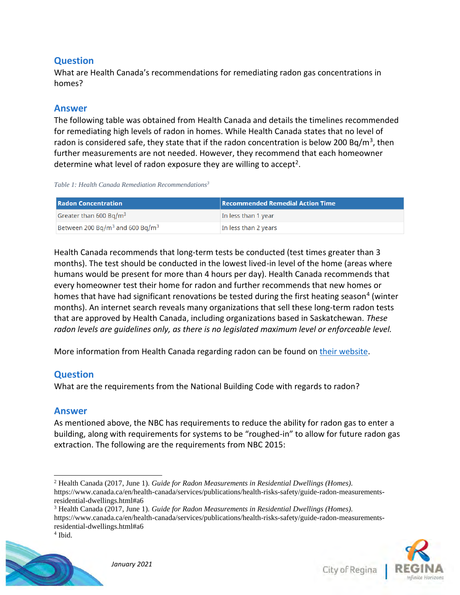## **Question**

What are Health Canada's recommendations for remediating radon gas concentrations in homes?

## **Answer**

The following table was obtained from Health Canada and details the timelines recommended for remediating high levels of radon in homes. While Health Canada states that no level of radon is considered safe, they state that if the radon concentration is below 200 Bq/m<sup>3</sup>, then further measurements are not needed. However, they recommend that each homeowner determine what level of radon exposure they are willing to accept<sup>2</sup>.

*Table 1: Health Canada Remediation Recommendations<sup>3</sup>*

| <b>Radon Concentration</b>                              | <b>Recommended Remedial Action Time</b> |
|---------------------------------------------------------|-----------------------------------------|
| Greater than 600 Bq/m <sup>3</sup>                      | In less than 1 year                     |
| Between 200 Bq/m <sup>3</sup> and 600 Bq/m <sup>3</sup> | In less than 2 years                    |

Health Canada recommends that long-term tests be conducted (test times greater than 3 months). The test should be conducted in the lowest lived-in level of the home (areas where humans would be present for more than 4 hours per day). Health Canada recommends that every homeowner test their home for radon and further recommends that new homes or homes that have had significant renovations be tested during the first heating season<sup>4</sup> (winter months). An internet search reveals many organizations that sell these long-term radon tests that are approved by Health Canada, including organizations based in Saskatchewan. *These radon levels are guidelines only, as there is no legislated maximum level or enforceable level.*

More information from Health Canada regarding radon can be found on [their website.](https://www.canada.ca/en/health-canada/services/health-risks-safety/radiation/radon.html.)

## **Question**

What are the requirements from the National Building Code with regards to radon?

## **Answer**

As mentioned above, the NBC has requirements to reduce the ability for radon gas to enter a building, along with requirements for systems to be "roughed-in" to allow for future radon gas extraction. The following are the requirements from NBC 2015:

<sup>3</sup> Health Canada (2017, June 1). *Guide for Radon Measurements in Residential Dwellings (Homes).*  https://www.canada.ca/en/health-canada/services/publications/health-risks-safety/guide-radon-measurementsresidential-dwellings.html#a6





<sup>2</sup> Health Canada (2017, June 1). *Guide for Radon Measurements in Residential Dwellings (Homes).*  https://www.canada.ca/en/health-canada/services/publications/health-risks-safety/guide-radon-measurementsresidential-dwellings.html#a6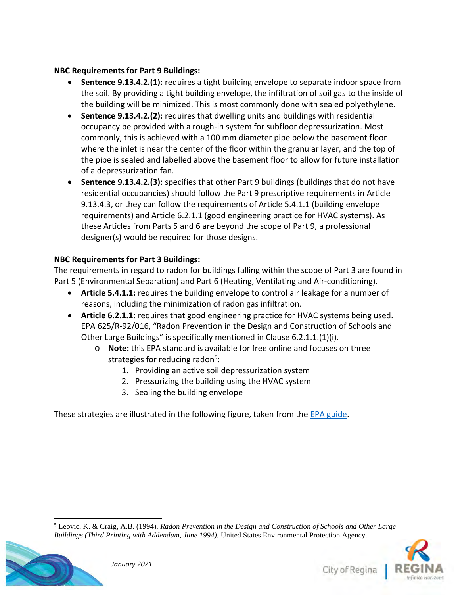### **NBC Requirements for Part 9 Buildings:**

- **Sentence 9.13.4.2.(1):** requires a tight building envelope to separate indoor space from the soil. By providing a tight building envelope, the infiltration of soil gas to the inside of the building will be minimized. This is most commonly done with sealed polyethylene.
- **Sentence 9.13.4.2.(2):** requires that dwelling units and buildings with residential occupancy be provided with a rough-in system for subfloor depressurization. Most commonly, this is achieved with a 100 mm diameter pipe below the basement floor where the inlet is near the center of the floor within the granular layer, and the top of the pipe is sealed and labelled above the basement floor to allow for future installation of a depressurization fan.
- **Sentence 9.13.4.2.(3):** specifies that other Part 9 buildings (buildings that do not have residential occupancies) should follow the Part 9 prescriptive requirements in Article 9.13.4.3, or they can follow the requirements of Article 5.4.1.1 (building envelope requirements) and Article 6.2.1.1 (good engineering practice for HVAC systems). As these Articles from Parts 5 and 6 are beyond the scope of Part 9, a professional designer(s) would be required for those designs.

## **NBC Requirements for Part 3 Buildings:**

The requirements in regard to radon for buildings falling within the scope of Part 3 are found in Part 5 (Environmental Separation) and Part 6 (Heating, Ventilating and Air-conditioning).

- **Article 5.4.1.1:** requires the building envelope to control air leakage for a number of reasons, including the minimization of radon gas infiltration.
- **Article 6.2.1.1:** requires that good engineering practice for HVAC systems being used. EPA 625/R-92/016, "Radon Prevention in the Design and Construction of Schools and Other Large Buildings" is specifically mentioned in Clause 6.2.1.1.(1)(i).
	- o **Note:** this EPA standard is available for free online and focuses on three strategies for reducing radon<sup>5</sup>:
		- 1. Providing an active soil depressurization system
		- 2. Pressurizing the building using the HVAC system
		- 3. Sealing the building envelope

These strategies are illustrated in the following figure, taken from the [EPA guide.](https://www.wbdg.org/ffc/epa/criteria/epa-625-r-92-016)

<sup>5</sup> Leovic, K. & Craig, A.B. (1994). *Radon Prevention in the Design and Construction of Schools and Other Large Buildings (Third Printing with Addendum, June 1994).* United States Environmental Protection Agency.

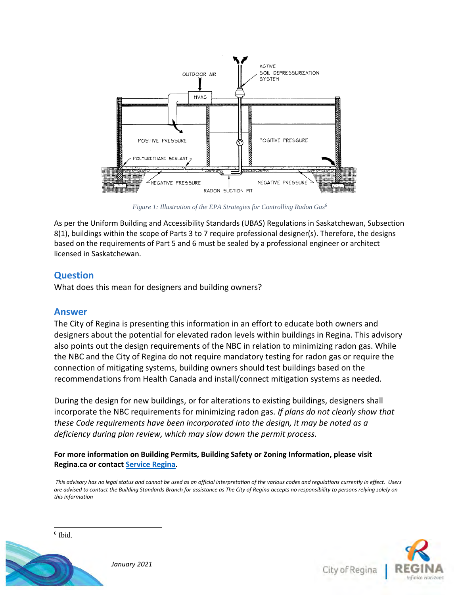

*Figure 1: Illustration of the EPA Strategies for Controlling Radon Gas<sup>6</sup>*

As per the Uniform Building and Accessibility Standards (UBAS) Regulations in Saskatchewan, Subsection 8(1), buildings within the scope of Parts 3 to 7 require professional designer(s). Therefore, the designs based on the requirements of Part 5 and 6 must be sealed by a professional engineer or architect licensed in Saskatchewan.

#### **Question**

What does this mean for designers and building owners?

#### **Answer**

The City of Regina is presenting this information in an effort to educate both owners and designers about the potential for elevated radon levels within buildings in Regina. This advisory also points out the design requirements of the NBC in relation to minimizing radon gas. While the NBC and the City of Regina do not require mandatory testing for radon gas or require the connection of mitigating systems, building owners should test buildings based on the recommendations from Health Canada and install/connect mitigation systems as needed.

During the design for new buildings, or for alterations to existing buildings, designers shall incorporate the NBC requirements for minimizing radon gas. *If plans do not clearly show that these Code requirements have been incorporated into the design, it may be noted as a deficiency during plan review, which may slow down the permit process.*

#### **For more information on Building Permits, Building Safety or Zoning Information, please visit Regina.ca or contact [Service Regina.](https://www.regina.ca/about-regina/contact-us/)**

*This advisory has no legal status and cannot be used as an official interpretation of the various codes and regulations currently in effect. Users are advised to contact the Building Standards Branch for assistance as The City of Regina accepts no responsibility to persons relying solely on this information*





City of Regina

*January 2021*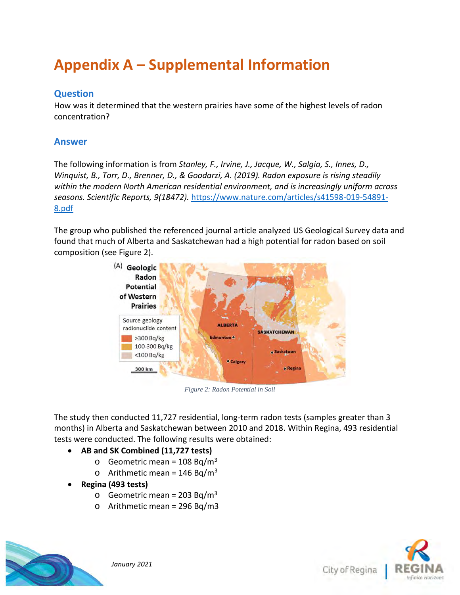## **Appendix A – Supplemental Information**

## **Question**

How was it determined that the western prairies have some of the highest levels of radon concentration?

## **Answer**

The following information is from *Stanley, F., Irvine, J., Jacque, W., Salgia, S., Innes, D., Winquist, B., Torr, D., Brenner, D., & Goodarzi, A. (2019). Radon exposure is rising steadily within the modern North American residential environment, and is increasingly uniform across seasons. Scientific Reports, 9(18472).* [https://www.nature.com/articles/s41598-019-54891-](https://www.nature.com/articles/s41598-019-54891-8.pdf) [8.pdf](https://www.nature.com/articles/s41598-019-54891-8.pdf)

The group who published the referenced journal article analyzed US Geological Survey data and found that much of Alberta and Saskatchewan had a high potential for radon based on soil composition (see Figure 2).



*Figure 2: Radon Potential in Soil*

The study then conducted 11,727 residential, long-term radon tests (samples greater than 3 months) in Alberta and Saskatchewan between 2010 and 2018. Within Regina, 493 residential tests were conducted. The following results were obtained:

- **AB and SK Combined (11,727 tests)**
	- $\circ$  Geometric mean = 108 Bq/m<sup>3</sup>
	- o Arithmetic mean =  $146$  Bg/m<sup>3</sup>
- **Regina (493 tests)**
	- $\circ$  Geometric mean = 203 Bq/m<sup>3</sup>
	- o Arithmetic mean = 296 Bq/m3



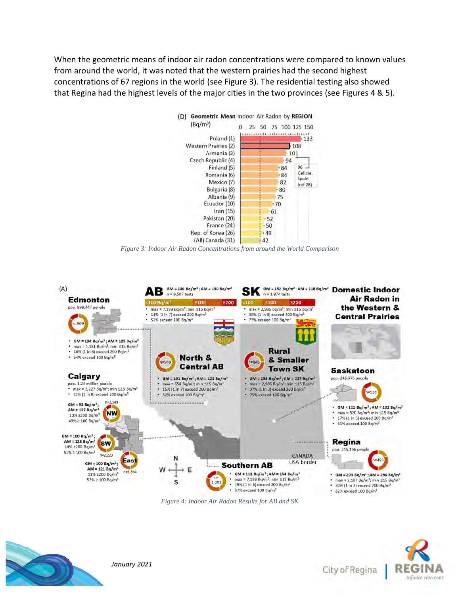When the geometric means of indoor air radon concentrations were compared to known values from around the world, it was noted that the western prairies had the second highest concentrations of 67 regions in the world (see Figure 3). The residential testing also showed that Regina had the highest levels of the major cities in the two provinces (see Figures 4 & 5).



*Figure 3: Indoor Air Radon Concentrations from around the World Comparison*



*Figure 4: Indoor Air Radon Results for AB and SK*



*January 2021*

City of Regina

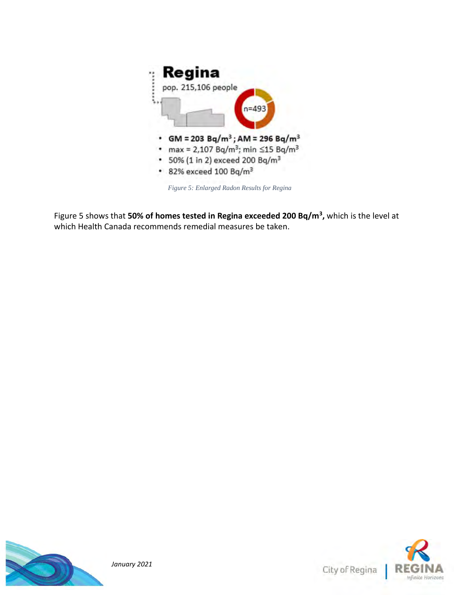

*Figure 5: Enlarged Radon Results for Regina*

Figure 5 shows that **50% of homes tested in Regina exceeded 200 Bq/m<sup>3</sup> ,** which is the level at which Health Canada recommends remedial measures be taken.